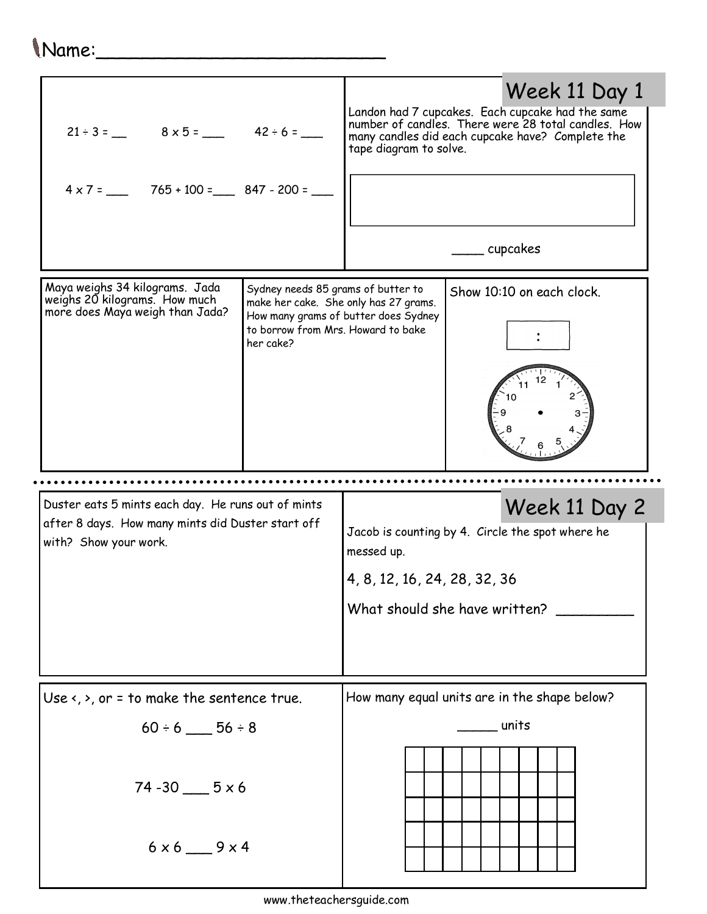## Name:\_\_\_\_\_\_\_\_\_\_\_\_\_\_\_\_\_\_\_\_\_\_\_\_\_

| Week 11 Day 1<br>Landon had 7 cupcakes. Each cupcake had the same<br>number of candles. There were 28 total candles. How<br>$21 \div 3 =$ $8 \times 5 =$ $42 \div 6 =$<br>many candles did each cupcake have? Complete the<br>tape diagram to solve.<br>$4 \times 7 =$ 765 + 100 = 847 - 200 =<br>_____ cupcakes |
|------------------------------------------------------------------------------------------------------------------------------------------------------------------------------------------------------------------------------------------------------------------------------------------------------------------|
| Sydney needs 85 grams of butter to<br>Show 10:10 on each clock.<br>make her cake. She only has 27 grams.<br>How many grams of butter does Sydney<br>to borrow from Mrs. Howard to bake<br>her cake?                                                                                                              |
|                                                                                                                                                                                                                                                                                                                  |
| Duster eats 5 mints each day. He runs out of mints<br>Week 11 Day 2<br>after 8 days. How many mints did Duster start off<br>Jacob is counting by 4. Circle the spot where he<br>messed up.<br>4, 8, 12, 16, 24, 28, 32, 36<br>What should she have written?                                                      |
|                                                                                                                                                                                                                                                                                                                  |
|                                                                                                                                                                                                                                                                                                                  |
| How many equal units are in the shape below?<br>Use $\langle$ , $\rangle$ , or = to make the sentence true.                                                                                                                                                                                                      |
| units                                                                                                                                                                                                                                                                                                            |
|                                                                                                                                                                                                                                                                                                                  |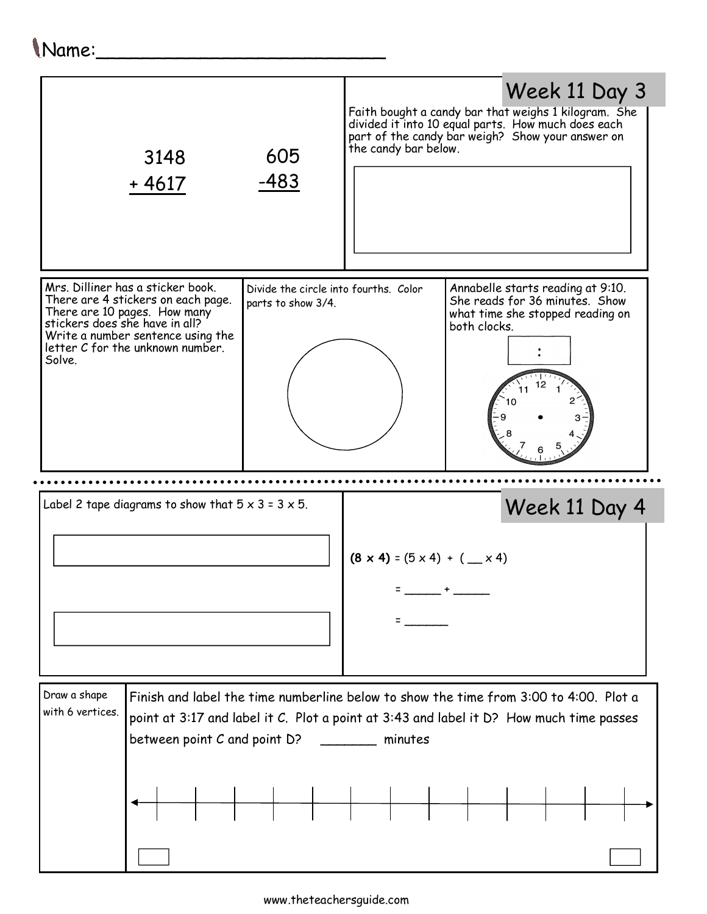## Name:\_\_\_\_\_\_\_\_\_\_\_\_\_\_\_\_\_\_\_\_\_\_\_\_\_